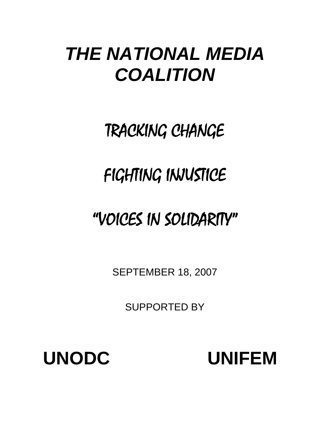# *THE NATIONAL MEDIA COALITION*

# TRACKING CHANGE

# FIGHTING INJUSTICE

# "VOICES IN SOLIDARITY"

SEPTEMBER 18, 2007

SUPPORTED BY

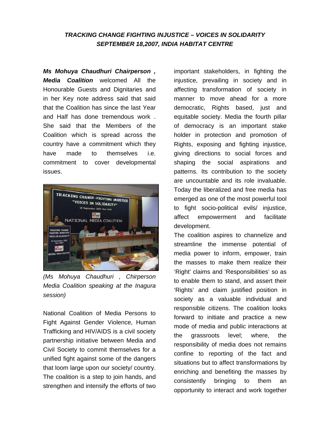## *TRACKING CHANGE FIGHTING INJUSTICE – VOICES IN SOLIDARITY SEPTEMBER 18,2007, INDIA HABITAT CENTRE*

*Ms Mohuya Chaudhuri Chairperson , Media Coalition* welcomed All the Honourable Guests and Dignitaries and in her Key note address said that said that the Coalition has since the last Year and Half has done tremendous work . She said that the Members of the Coalition which is spread across the country have a commitment which they have made to themselves i.e. commitment to cover developmental issues.



*(Ms Mohuya Chaudhuri , Chirperson Media Coalition speaking at the Inagura session)* 

National Coalition of Media Persons to Fight Against Gender Violence, Human Trafficking and HIV/AIDS is a civil society partnership initiative between Media and Civil Society to commit themselves for a unified fight against some of the dangers that loom large upon our society/ country. The coalition is a step to join hands, and strengthen and intensify the efforts of two

important stakeholders, in fighting the injustice, prevailing in society and in affecting transformation of society in manner to move ahead for a more democratic, Rights based, just and equitable society. Media the fourth pillar of democracy is an important stake holder in protection and promotion of Rights, exposing and fighting injustice, giving directions to social forces and shaping the social aspirations and patterns. Its contribution to the society are uncountable and its role invaluable. Today the liberalized and free media has emerged as one of the most powerful tool to fight socio-political evils/ injustice, affect empowerment and facilitate development.

The coalition aspires to channelize and streamline the immense potential of media power to inform, empower, train the masses to make them realize their 'Right' claims and 'Responsibilities' so as to enable them to stand, and assert their 'Rights' and claim justified position in society as a valuable individual and responsible citizens. The coalition looks forward to initiate and practice a new mode of media and public interactions at the grassroots level; where, the responsibility of media does not remains confine to reporting of the fact and situations but to affect transformations by enriching and benefiting the masses by consistently bringing to them an opportunity to interact and work together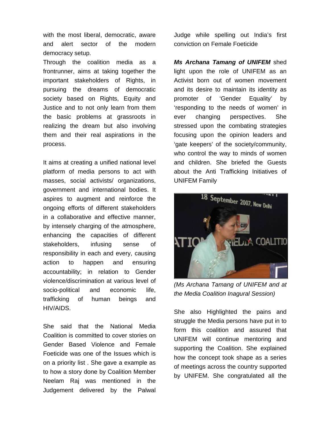with the most liberal, democratic, aware and alert sector of the modern democracy setup.

Through the coalition media as a frontrunner, aims at taking together the important stakeholders of Rights, in pursuing the dreams of democratic society based on Rights, Equity and Justice and to not only learn from them the basic problems at grassroots in realizing the dream but also involving them and their real aspirations in the process.

It aims at creating a unified national level platform of media persons to act with masses, social activists/ organizations, government and international bodies. It aspires to augment and reinforce the ongoing efforts of different stakeholders in a collaborative and effective manner, by intensely charging of the atmosphere, enhancing the capacities of different stakeholders, infusing sense of responsibility in each and every, causing action to happen and ensuring accountability; in relation to Gender violence/discrimination at various level of socio-political and economic life, trafficking of human beings and HIV/AIDS.

She said that the National Media Coalition is committed to cover stories on Gender Based Violence and Female Foeticide was one of the Issues which is on a priority list . She gave a example as to how a story done by Coalition Member Neelam Raj was mentioned in the Judgement delivered by the Palwal

Judge while spelling out India's first conviction on Female Foeticide

*Ms Archana Tamang of UNIFEM* shed light upon the role of UNIFEM as an Activist born out of women movement and its desire to maintain its identity as promoter of 'Gender Equality' by 'responding to the needs of women' in ever changing perspectives. She stressed upon the combating strategies focusing upon the opinion leaders and 'gate keepers' of the society/community, who control the way to minds of women and children. She briefed the Guests about the Anti Trafficking Initiatives of UNIFEM Family



*(Ms Archana Tamang of UNIFEM and at the Media Coalition Inagural Session)* 

She also Highlighted the pains and struggle the Media persons have put in to form this coalition and assured that UNIFEM will continue mentoring and supporting the Coalition. She explained how the concept took shape as a series of meetings across the country supported by UNIFEM. She congratulated all the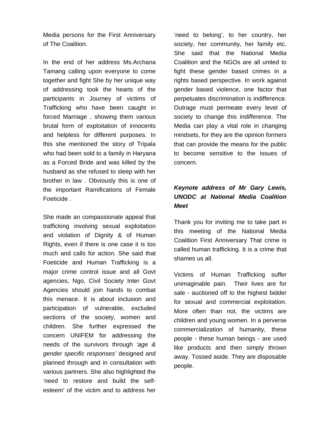Media persons for the First Anniversary of The Coalition.

In the end of her address Ms.Archana Tamang calling upon everyone to come together and fight She by her unique way of addressing took the hearts of the participants in Journey of victims of Trafficking who have been caught in forced Marriage , showing them various brutal form of exploitation of innocents and helpless for different purposes. In this she mentioned the story of Tripala who had been sold to a family in Haryana as a Forced Bride and was killed by the husband as she refused to sleep with her brother in law . Obviously this is one of the important Ramifications of Female Foeticide .

She made an compassionate appeal that trafficking involving sexual exploitation and violation of Dignity & of Human Rights, even if there is one case it is too much and calls for action. She said that Foeticide and Human Trafficking is a major crime control issue and all Govt agencies, Ngo, Civil Society Inter Govt Agencies should join hands to combat this menace. It is about inclusion and participation of vulnerable, excluded sections of the society, women and children. She further expressed the concern UNIFEM for addressing the needs of the survivors through *'age & gender specific responses'* designed and planned through and in consultation with various partners. She also highlighted the 'need to restore and build the selfesteem' of the victim and to address her

'need to belong', to her country, her society, her community, her family etc. She said that the National Media Coalition and the NGOs are all united to fight these gender based crimes in a rights based perspective. In work against gender based violence, one factor that perpetuates discrimination is indifference. Outrage must permeate every level of society to change this indifference. The Media can play a vital role in changing mindsets, for they are the opinion formers that can provide the means for the public to become sensitive to the issues of concern.

## *Keynote address of Mr Gary Lewis, UNODC at National Media Coalition Meet*

Thank you for inviting me to take part in this meeting of the National Media Coalition First Anniversary That crime is called human trafficking. It is a crime that shames us all.

Victims of Human Trafficking suffer unimaginable pain. Their lives are for sale - auctioned off to the highest bidder for sexual and commercial exploitation. More often than not, the victims are children and young women. In a perverse commercialization of humanity, these people - these human beings - are used like products and then simply thrown away. Tossed aside. They are disposable people.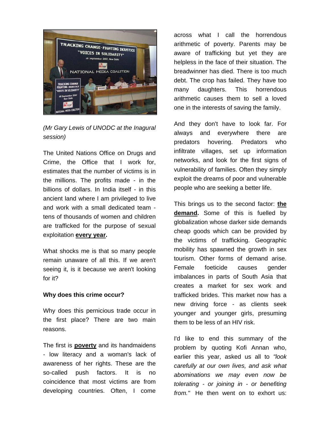

*(Mr Gary Lewis of UNODC at the Inagural session)* 

The United Nations Office on Drugs and Crime, the Office that I work for, estimates that the number of victims is in the millions. The profits made - in the billions of dollars. In India itself - in this ancient land where I am privileged to live and work with a small dedicated team tens of thousands of women and children are trafficked for the purpose of sexual exploitation **every year.**

What shocks me is that so many people remain unaware of all this. If we aren't seeing it, is it because we aren't looking for it?

#### **Why does this crime occur?**

Why does this pernicious trade occur in the first place? There are two main reasons.

The first is **poverty** and its handmaidens - low literacy and a woman's lack of awareness of her rights. These are the so-called push factors. It is no coincidence that most victims are from developing countries. Often, I come across what I call the horrendous arithmetic of poverty. Parents may be aware of trafficking but yet they are helpless in the face of their situation. The breadwinner has died. There is too much debt. The crop has failed. They have too many daughters. This horrendous arithmetic causes them to sell a loved one in the interests of saving the family.

And they don't have to look far. For always and everywhere there are predators hovering. Predators who infiltrate villages, set up information networks, and look for the first signs of vulnerability of families. Often they simply exploit the dreams of poor and vulnerable people who are seeking a better life.

This brings us to the second factor: **the demand.** Some of this is fuelled by globalization whose darker side demands cheap goods which can be provided by the victims of trafficking. Geographic mobility has spawned the growth in sex tourism. Other forms of demand arise. Female foeticide causes gender imbalances in parts of South Asia that creates a market for sex work and trafficked brides. This market now has a new driving force - as clients seek younger and younger girls, presuming them to be less of an HIV risk.

I'd like to end this summary of the problem by quoting Kofi Annan who, earlier this year, asked us all to *"look carefully at our own lives, and ask what abominations we may even now be tolerating - or joining in - or benefiting from."* He then went on to exhort us: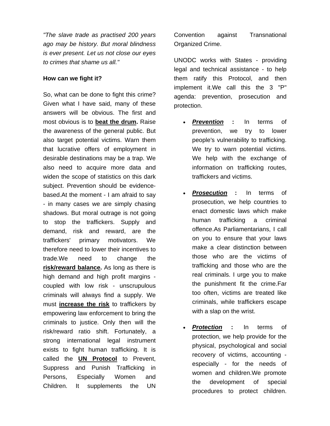*"The slave trade as practised 200 years ago may be history. But moral blindness is ever present. Let us not close our eyes to crimes that shame us all."*

#### **How can we fight it?**

So, what can be done to fight this crime? Given what I have said, many of these answers will be obvious. The first and most obvious is to **beat the drum.** Raise the awareness of the general public. But also target potential victims. Warn them that lucrative offers of employment in desirable destinations may be a trap. We also need to acquire more data and widen the scope of statistics on this dark subject. Prevention should be evidencebased.At the moment - I am afraid to say - in many cases we are simply chasing shadows. But moral outrage is not going to stop the traffickers. Supply and demand, risk and reward, are the traffickers' primary motivators. We therefore need to lower their incentives to trade.We need to change the **risk/reward balance.** As long as there is high demand and high profit margins coupled with low risk - unscrupulous criminals will always find a supply. We must **increase the risk** to traffickers by empowering law enforcement to bring the criminals to justice. Only then will the risk/reward ratio shift. Fortunately, a strong international legal instrument exists to fight human trafficking. It is called the **UN Protocol** to Prevent, Suppress and Punish Trafficking in Persons, Especially Women and Children. It supplements the UN

Convention against Transnational Organized Crime.

UNODC works with States - providing legal and technical assistance - to help them ratify this Protocol, and then implement it.We call this the 3 "P" agenda: prevention, prosecution and protection.

- **Prevention :** In terms of prevention, we try to lower people's vulnerability to trafficking. We try to warn potential victims. We help with the exchange of information on trafficking routes, traffickers and victims.
- *Prosecution* **:** In terms of prosecution, we help countries to enact domestic laws which make human trafficking a criminal offence.As Parliamentarians, I call on you to ensure that your laws make a clear distinction between those who are the victims of trafficking and those who are the real criminals. I urge you to make the punishment fit the crime.Far too often, victims are treated like criminals, while traffickers escape with a slap on the wrist.
- **Protection :** In terms of protection, we help provide for the physical, psychological and social recovery of victims, accounting especially - for the needs of women and children.We promote the development of special procedures to protect children.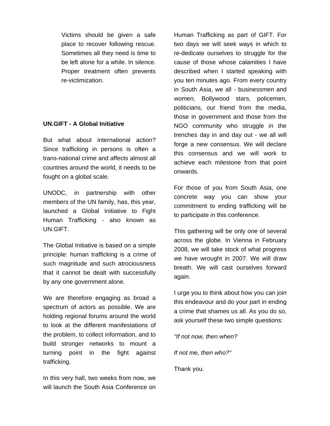Victims should be given a safe place to recover following rescue. Sometimes all they need is time to be left alone for a while. In silence. Proper treatment often prevents re-victimization.

### **UN.GIFT - A Global Initiative**

But what about international action? Since trafficking in persons is often a trans-national crime and affects almost all countries around the world, it needs to be fought on a global scale.

UNODC, in partnership with other members of the UN family, has, this year, launched a Global Initiative to Fight Human Trafficking - also known as UN.GIFT.

The Global Initiative is based on a simple principle: human trafficking is a crime of such magnitude and such atrociousness that it cannot be dealt with successfully by any one government alone.

We are therefore engaging as broad a spectrum of actors as possible. We are holding regional forums around the world to look at the different manifestations of the problem, to collect information, and to build stronger networks to mount a turning point in the fight against trafficking.

In this very hall, two weeks from now, we will launch the South Asia Conference on Human Trafficking as part of GIFT. For two days we will seek ways in which to re-dedicate ourselves to struggle for the cause of those whose calamities I have described when I started speaking with you ten minutes ago. From every country in South Asia, we all - businessmen and women, Bollywood stars, policemen, politicians, our friend from the media, those in government and those from the NGO community who struggle in the trenches day in and day out - we all will forge a new consensus. We will declare this consensus and we will work to achieve each milestone from that point onwards.

For those of you from South Asia, one concrete way you can show your commitment to ending trafficking will be to participate in this conference.

This gathering will be only one of several across the globe. In Vienna in February 2008, we will take stock of what progress we have wrought in 2007. We will draw breath. We will cast ourselves forward again.

I urge you to think about how you can join this endeavour and do your part in ending a crime that shames us all. As you do so, ask yourself these two simple questions:

*"If not now, then when?* 

*If not me, then who?"*

Thank you.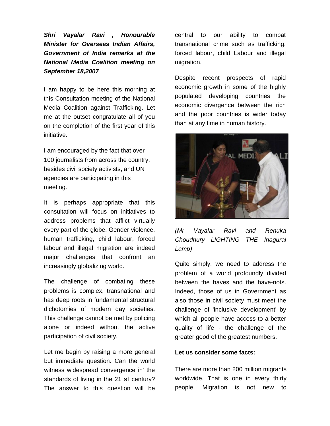*Shri Vayalar Ravi , Honourable Minister for Overseas Indian Affairs, Government of India remarks at the National Media Coalition meeting on September 18,2007* 

I am happy to be here this morning at this Consultation meeting of the National Media Coalition against Trafficking. Let me at the outset congratulate all of you on the completion of the first year of this initiative.

I am encouraged by the fact that over 100 journalists from across the country, besides civil society activists, and UN agencies are participating in this meeting.

It is perhaps appropriate that this consultation will focus on initiatives to address problems that afflict virtually every part of the globe. Gender violence, human trafficking, child labour, forced labour and illegal migration are indeed major challenges that confront an increasingly globalizing world.

The challenge of combating these problems is complex, transnational and has deep roots in fundamental structural dichotomies of modern day societies. This challenge cannot be met by policing alone or indeed without the active participation of civil society.

Let me begin by raising a more general but immediate question. Can the world witness widespread convergence in' the standards of living in the 21 sl century? The answer to this question will be

central to our ability to combat transnational crime such as trafficking, forced labour, child Labour and illegal migration.

Despite recent prospects of rapid economic growth in some of the highly populated developing countries the economic divergence between the rich and the poor countries is wider today than at any time in human history.



*(Mr Vayalar Ravi and Renuka Choudhury LIGHTING THE Inagural Lamp)* 

Quite simply, we need to address the problem of a world profoundly divided between the haves and the have-nots. Indeed, those of us in Government as also those in civil society must meet the challenge of 'inclusive development' by which all people have access to a better quality of life - the challenge of the greater good of the greatest numbers.

#### **Let us consider some facts:**

There are more than 200 million migrants worldwide. That is one in every thirty people. Migration is not new to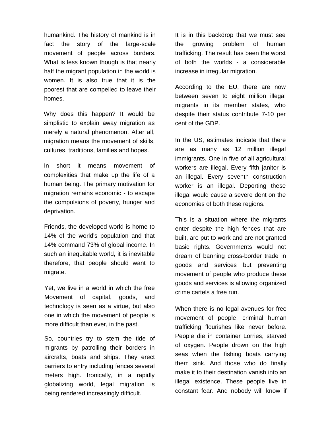humankind. The history of mankind is in fact the story of the large-scale movement of people across borders. What is less known though is that nearly half the migrant population in the world is women. It is also true that it is the poorest that are compelled to leave their homes.

Why does this happen? It would be simplistic to explain away migration as merely a natural phenomenon. After all, migration means the movement of skills, cultures, traditions, families and hopes.

In short it means movement of complexities that make up the life of a human being. The primary motivation for migration remains economic - to escape the compulsions of poverty, hunger and deprivation.

Friends, the developed world is home to 14% of the world's population and that 14% command 73% of global income. In such an inequitable world, it is inevitable therefore, that people should want to migrate.

Yet, we live in a world in which the free Movement of capital, goods, and technology is seen as a virtue, but also one in which the movement of people is more difficult than ever, in the past.

So, countries try to stem the tide of migrants by patrolling their borders in aircrafts, boats and ships. They erect barriers to entry including fences several meters high. Ironically, in a rapidly globalizing world, legal migration is being rendered increasingly difficult.

It is in this backdrop that we must see the growing problem of human trafficking. The result has been the worst of both the worlds - a considerable increase in irregular migration.

According to the EU, there are now between seven to eight million illegal migrants in its member states, who despite their status contribute 7-10 per cent of the GDP.

In the US, estimates indicate that there are as many as 12 million illegal immigrants. One in five of all agricultural workers are illegal. Every fifth janitor is an illegal. Every seventh construction worker is an illegal. Deporting these illegal would cause a severe dent on the economies of both these regions.

This is a situation where the migrants enter despite the high fences that are built, are put to work and are not granted basic rights. Governments would not dream of banning cross-border trade in goods and services but preventing movement of people who produce these goods and services is allowing organized crime cartels a free run.

When there is no legal avenues for free movement of people, criminal human trafficking flourishes like never before. People die in container Lorries, starved of oxygen. People drown on the high seas when the fishing boats carrying them sink. And those who do finally make it to their destination vanish into an illegal existence. These people live in constant fear. And nobody will know if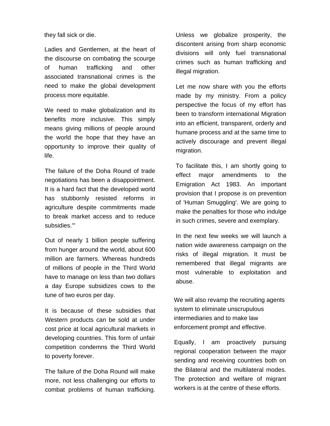they fall sick or die.

Ladies and Gentlemen, at the heart of the discourse on combating the scourge of human trafficking and other associated transnational crimes is the need to make the global development process more equitable.

We need to make globalization and its benefits more inclusive. This simply means giving millions of people around the world the hope that they have an opportunity to improve their quality of life.

The failure of the Doha Round of trade negotiations has been a disappointment. It is a hard fact that the developed world has stubbornly resisted reforms in agriculture despite commitments made to break market access and to reduce subsidies.'"

Out of nearly 1 billion people suffering from hunger around the world, about 600 million are farmers. Whereas hundreds of millions of people in the Third World have to manage on less than two dollars a day Europe subsidizes cows to the tune of two euros per day.

It is because of these subsidies that Western products can be sold at under cost price at local agricultural markets in developing countries. This form of unfair competition condemns the Third World to poverty forever.

The failure of the Doha Round will make more, not less challenging our efforts to combat problems of human trafficking.

Unless we globalize prosperity, the discontent arising from sharp economic divisions will only fuel transnational crimes such as human trafficking and illegal migration.

Let me now share with you the efforts made by my ministry. From a policy perspective the focus of my effort has been to transform international Migration into an efficient, transparent, orderly and humane process and at the same time to actively discourage and prevent illegal migration.

To facilitate this, I am shortly going to effect major amendments to the Emigration Act 1983. An important provision that I propose is on prevention of 'Human Smuggling'. We are going to make the penalties for those who indulge in such crimes, severe and exemplary.

In the next few weeks we will launch a nation wide awareness campaign on the risks of illegal migration. It must be remembered that illegal migrants are most vulnerable to exploitation and abuse.

We will also revamp the recruiting agents system to eliminate unscrupulous intermediaries and to make law enforcement prompt and effective.

Equally, I am proactively pursuing regional cooperation between the major sending and receiving countries both on the Bilateral and the multilateral modes. The protection and welfare of migrant workers is at the centre of these efforts.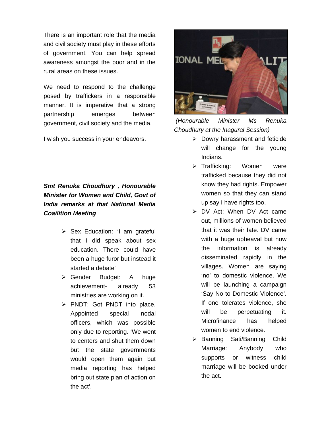There is an important role that the media and civil society must play in these efforts of government. You can help spread awareness amongst the poor and in the rural areas on these issues.

We need to respond to the challenge posed by traffickers in a responsible manner. It is imperative that a strong partnership emerges between government, civil society and the media.

I wish you success in your endeavors.

## *Smt Renuka Choudhury , Honourable Minister for Women and Child, Govt of India remarks at that National Media Coailition Meeting*

- ¾ Sex Education: "I am grateful that I did speak about sex education. There could have been a huge furor but instead it started a debate"
- ¾ Gender Budget: A huge achievement- already 53 ministries are working on it.
- ¾ PNDT: Got PNDT into place. Appointed special nodal officers, which was possible only due to reporting. 'We went to centers and shut them down but the state governments would open them again but media reporting has helped bring out state plan of action on the act'.



*(Honourable Minister Ms Renuka Choudhury at the Inagural Session)* 

- $\triangleright$  Dowry harassment and feticide will change for the young Indians.
- ¾ Trafficking: Women were trafficked because they did not know they had rights. Empower women so that they can stand up say I have rights too.
- ¾ DV Act: When DV Act came out, millions of women believed that it was their fate. DV came with a huge upheaval but now the information is already disseminated rapidly in the villages. Women are saying 'no' to domestic violence. We will be launching a campaign 'Say No to Domestic Violence'. If one tolerates violence, she will be perpetuating it. Microfinance has helped women to end violence.
- ¾ Banning Sati/Banning Child Marriage: Anybody who supports or witness child marriage will be booked under the act.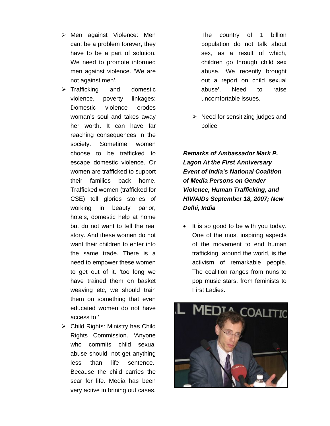- ¾ Men against Violence: Men cant be a problem forever, they have to be a part of solution. We need to promote informed men against violence. 'We are not against men'.
- ¾ Trafficking and domestic violence, poverty linkages: Domestic violence erodes woman's soul and takes away her worth. It can have far reaching consequences in the society. Sometime women choose to be trafficked to escape domestic violence. Or women are trafficked to support their families back home. Trafficked women (trafficked for CSE) tell glories stories of working in beauty parlor, hotels, domestic help at home but do not want to tell the real story. And these women do not want their children to enter into the same trade. There is a need to empower these women to get out of it. 'too long we have trained them on basket weaving etc, we should train them on something that even educated women do not have access to.'
- $\triangleright$  Child Rights: Ministry has Child Rights Commission. 'Anyone who commits child sexual abuse should not get anything less than life sentence.' Because the child carries the scar for life. Media has been very active in brining out cases.

The country of 1 billion population do not talk about sex, as a result of which, children go through child sex abuse. 'We recently brought out a report on child sexual abuse'. Need to raise uncomfortable issues.

 $\triangleright$  Need for sensitizing judges and police

*Remarks of Ambassador Mark P. Lagon At the First Anniversary Event of India's National Coalition of Media Persons on Gender Violence, Human Trafficking, and HIV/AIDs September 18, 2007; New Delhi, India* 

It is so good to be with you today. One of the most inspiring aspects of the movement to end human trafficking, around the world, is the activism of remarkable people. The coalition ranges from nuns to pop music stars, from feminists to First Ladies.

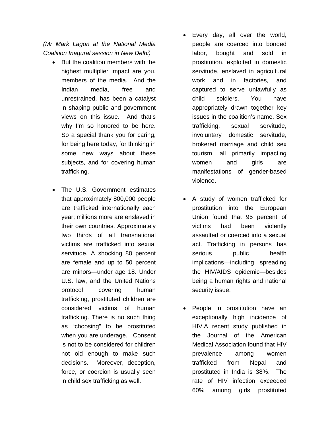*(Mr Mark Lagon at the National Media Coalition Inagural session in New Delhi)* 

- But the coalition members with the highest multiplier impact are you, members of the media. And the Indian media, free and unrestrained, has been a catalyst in shaping public and government views on this issue. And that's why I'm so honored to be here. So a special thank you for caring, for being here today, for thinking in some new ways about these subjects, and for covering human trafficking.
- The U.S. Government estimates that approximately 800,000 people are trafficked internationally each year; millions more are enslaved in their own countries. Approximately two thirds of all transnational victims are trafficked into sexual servitude. A shocking 80 percent are female and up to 50 percent are minors—under age 18. Under U.S. law, and the United Nations protocol covering human trafficking, prostituted children are considered victims of human trafficking. There is no such thing as "choosing" to be prostituted when you are underage. Consent is not to be considered for children not old enough to make such decisions. Moreover, deception, force, or coercion is usually seen in child sex trafficking as well.
- Every day, all over the world, people are coerced into bonded labor, bought and sold in prostitution, exploited in domestic servitude, enslaved in agricultural work and in factories, and captured to serve unlawfully as child soldiers. You have appropriately drawn together key issues in the coalition's name. Sex trafficking, sexual servitude, involuntary domestic servitude, brokered marriage and child sex tourism, all primarily impacting women and girls are manifestations of gender-based violence.
- A study of women trafficked for prostitution into the European Union found that 95 percent of victims had been violently assaulted or coerced into a sexual act. Trafficking in persons has serious public health implications—including spreading the HIV/AIDS epidemic—besides being a human rights and national security issue.
- People in prostitution have an exceptionally high incidence of HIV.A recent study published in the Journal of the American Medical Association found that HIV prevalence among women trafficked from Nepal and prostituted in India is 38%. The rate of HIV infection exceeded 60% among girls prostituted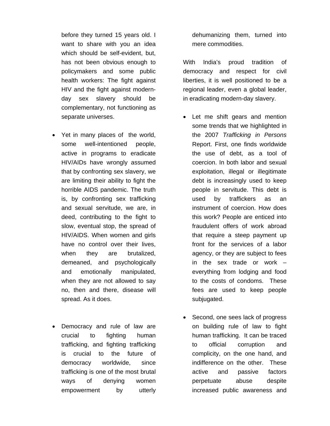before they turned 15 years old. I want to share with you an idea which should be self-evident, but, has not been obvious enough to policymakers and some public health workers: The fight against HIV and the fight against modernday sex slavery should be complementary, not functioning as separate universes.

- Yet in many places of the world, some well-intentioned people, active in programs to eradicate HIV/AIDs have wrongly assumed that by confronting sex slavery, we are limiting their ability to fight the horrible AIDS pandemic. The truth is, by confronting sex trafficking and sexual servitude, we are, in deed, contributing to the fight to slow, eventual stop, the spread of HIV/AIDS. When women and girls have no control over their lives, when they are brutalized, demeaned, and psychologically and emotionally manipulated, when they are not allowed to say no, then and there, disease will spread. As it does.
- Democracy and rule of law are crucial to fighting human trafficking, and fighting trafficking is crucial to the future of democracy worldwide, since trafficking is one of the most brutal ways of denying women empowerment by utterly

dehumanizing them, turned into mere commodities.

With India's proud tradition of democracy and respect for civil liberties, it is well positioned to be a regional leader, even a global leader, in eradicating modern-day slavery.

- Let me shift gears and mention some trends that we highlighted in the 2007 *Trafficking in Persons* Report. First, one finds worldwide the use of debt, as a tool of coercion. In both labor and sexual exploitation, illegal or illegitimate debt is increasingly used to keep people in servitude. This debt is used by traffickers as an instrument of coercion. How does this work? People are enticed into fraudulent offers of work abroad that require a steep payment up front for the services of a labor agency, or they are subject to fees in the sex trade or work – everything from lodging and food to the costs of condoms. These fees are used to keep people subjugated.
- Second, one sees lack of progress on building rule of law to fight human trafficking. It can be traced to official corruption and complicity, on the one hand, and indifference on the other. These active and passive factors perpetuate abuse despite increased public awareness and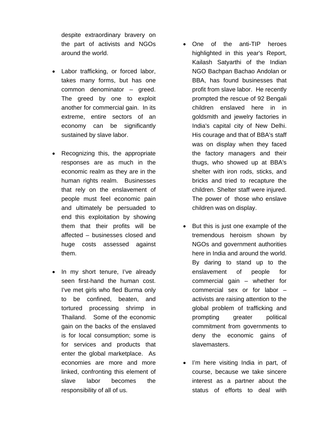despite extraordinary bravery on the part of activists and NGOs around the world.

- Labor trafficking, or forced labor, takes many forms, but has one common denominator – greed. The greed by one to exploit another for commercial gain. In its extreme, entire sectors of an economy can be significantly sustained by slave labor.
- Recognizing this, the appropriate responses are as much in the economic realm as they are in the human rights realm. Businesses that rely on the enslavement of people must feel economic pain and ultimately be persuaded to end this exploitation by showing them that their profits will be affected – businesses closed and huge costs assessed against them.
- In my short tenure, I've already seen first-hand the human cost. I've met girls who fled Burma only to be confined, beaten, and tortured processing shrimp in Thailand. Some of the economic gain on the backs of the enslaved is for local consumption; some is for services and products that enter the global marketplace. As economies are more and more linked, confronting this element of slave labor becomes the responsibility of all of us.
- One of the anti-TIP heroes highlighted in this year's Report, Kailash Satyarthi of the Indian NGO Bachpan Bachao Andolan or BBA, has found businesses that profit from slave labor. He recently prompted the rescue of 92 Bengali children enslaved here in in goldsmith and jewelry factories in India's capital city of New Delhi. His courage and that of BBA's staff was on display when they faced the factory managers and their thugs, who showed up at BBA's shelter with iron rods, sticks, and bricks and tried to recapture the children. Shelter staff were injured. The power of those who enslave children was on display.
- But this is just one example of the tremendous heroism shown by NGOs and government authorities here in India and around the world. By daring to stand up to the enslavement of people for commercial gain – whether for commercial sex or for labor – activists are raising attention to the global problem of trafficking and prompting greater political commitment from governments to deny the economic gains of slavemasters.
- I'm here visiting India in part, of course, because we take sincere interest as a partner about the status of efforts to deal with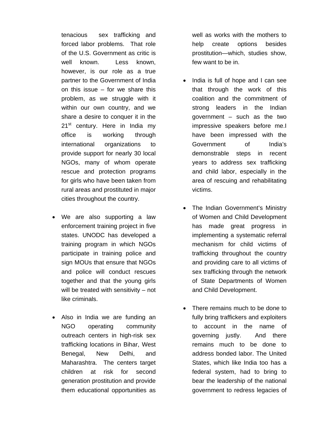tenacious sex trafficking and forced labor problems. That role of the U.S. Government as critic is well known. Less known. however, is our role as a true partner to the Government of India on this issue – for we share this problem, as we struggle with it within our own country, and we share a desire to conquer it in the 21<sup>st</sup> century. Here in India my office is working through international organizations to provide support for nearly 30 local NGOs, many of whom operate rescue and protection programs for girls who have been taken from rural areas and prostituted in major cities throughout the country.

- We are also supporting a law enforcement training project in five states. UNODC has developed a training program in which NGOs participate in training police and sign MOUs that ensure that NGOs and police will conduct rescues together and that the young girls will be treated with sensitivity – not like criminals.
- Also in India we are funding an NGO operating community outreach centers in high-risk sex trafficking locations in Bihar, West Benegal, New Delhi, and Maharashtra. The centers target children at risk for second generation prostitution and provide them educational opportunities as

well as works with the mothers to help create options besides prostitution—which, studies show, few want to be in.

- India is full of hope and I can see that through the work of this coalition and the commitment of strong leaders in the Indian government – such as the two impressive speakers before me.I have been impressed with the Government of India's demonstrable steps in recent years to address sex trafficking and child labor, especially in the area of rescuing and rehabilitating victims.
- The Indian Government's Ministry of Women and Child Development has made great progress in implementing a systematic referral mechanism for child victims of trafficking throughout the country and providing care to all victims of sex trafficking through the network of State Departments of Women and Child Development.
- There remains much to be done to fully bring traffickers and exploiters to account in the name of governing justly. And there remains much to be done to address bonded labor. The United States, which like India too has a federal system, had to bring to bear the leadership of the national government to redress legacies of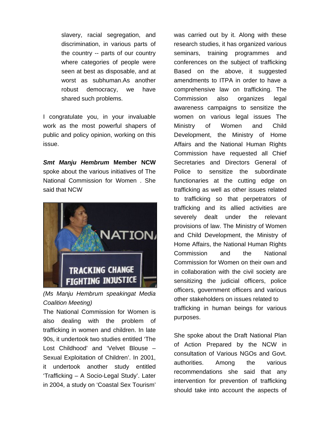slavery, racial segregation, and discrimination, in various parts of the country -- parts of our country where categories of people were seen at best as disposable, and at worst as subhuman.As another robust democracy, we have shared such problems.

I congratulate you, in your invaluable work as the most powerful shapers of public and policy opinion, working on this issue.

*Smt Manju Hembrum* **Member NCW** spoke about the various initiatives of The National Commission for Women . She said that NCW



*(Ms Manju Hembrum speakingat Media Coalition Meeting)* 

The National Commission for Women is also dealing with the problem of trafficking in women and children. In late 90s, it undertook two studies entitled 'The Lost Childhood' and 'Velvet Blouse – Sexual Exploitation of Children'. In 2001, it undertook another study entitled 'Trafficking – A Socio-Legal Study'. Later in 2004, a study on 'Coastal Sex Tourism' was carried out by it. Along with these research studies, it has organized various seminars, training programmes and conferences on the subject of trafficking Based on the above, it suggested amendments to ITPA in order to have a comprehensive law on trafficking. The Commission also organizes legal awareness campaigns to sensitize the women on various legal issues The Ministry of Women and Child Development, the Ministry of Home Affairs and the National Human Rights Commission have requested all Chief Secretaries and Directors General of Police to sensitize the subordinate functionaries at the cutting edge on trafficking as well as other issues related to trafficking so that perpetrators of trafficking and its allied activities are severely dealt under the relevant provisions of law. The Ministry of Women and Child Development, the Ministry of Home Affairs, the National Human Rights Commission and the National Commission for Women on their own and in collaboration with the civil society are sensitizing the judicial officers, police officers, government officers and various other stakeholders on issues related to trafficking in human beings for various purposes.

She spoke about the Draft National Plan of Action Prepared by the NCW in consultation of Various NGOs and Govt. authorities. Among the various recommendations she said that any intervention for prevention of trafficking should take into account the aspects of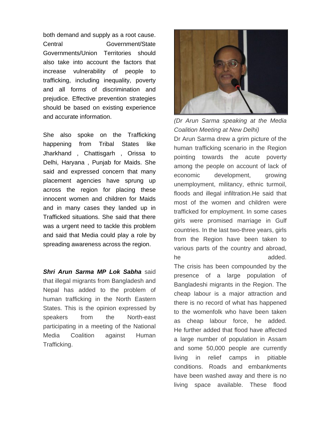both demand and supply as a root cause. Central Government/State Governments/Union Territories should also take into account the factors that increase vulnerability of people to trafficking, including inequality, poverty and all forms of discrimination and prejudice. Effective prevention strategies should be based on existing experience and accurate information.

She also spoke on the Trafficking happening from Tribal States like Jharkhand , Chattisgarh , Orissa to Delhi, Haryana , Punjab for Maids. She said and expressed concern that many placement agencies have sprung up across the region for placing these innocent women and children for Maids and in many cases they landed up in Trafficked situations. She said that there was a urgent need to tackle this problem and said that Media could play a role by spreading awareness across the region.

*Shri Arun Sarma MP Lok Sabha* said that illegal migrants from Bangladesh and Nepal has added to the problem of human trafficking in the North Eastern States. This is the opinion expressed by speakers from the North-east participating in a meeting of the National Media Coalition against Human Trafficking.



*(Dr Arun Sarma speaking at the Media Coalition Meeting at New Delhi)* 

Dr Arun Sarma drew a grim picture of the human trafficking scenario in the Region pointing towards the acute poverty among the people on account of lack of economic development, growing unemployment, militancy, ethnic turmoil, floods and illegal infiltration.He said that most of the women and children were trafficked for employment. In some cases girls were promised marriage in Gulf countries. In the last two-three years, girls from the Region have been taken to various parts of the country and abroad, he added.

The crisis has been compounded by the presence of a large population of Bangladeshi migrants in the Region. The cheap labour is a major attraction and there is no record of what has happened to the womenfolk who have been taken as cheap labour force, he added. He further added that flood have affected a large number of population in Assam and some 50,000 people are currently living in relief camps in pitiable conditions. Roads and embankments have been washed away and there is no living space available. These flood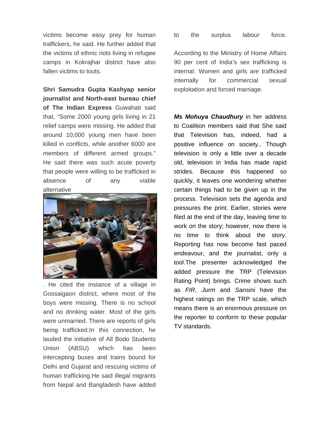victims become easy prey for human traffickers, he said. He further added that the victims of ethnic riots living in refugee camps in Kokrajhar district have also fallen victims to touts.

**Shri Samudra Gupta Kashyap senior journalist and North-east bureau chief of The Indian Express** Guwahati said that, "Some 2000 young girls living in 21 relief camps were missing. He added that around 10,000 young men have been killed in conflicts, while another 6000 are members of different armed groups." He said there was such acute poverty that people were willing to be trafficked in absence of any viable alternative



. He cited the instance of a village in Gossaigaon district, where most of the boys were missing. There is no school and no drinking water. Most of the girls were unmarried. There are reports of girls being trafficked.In this connection, he lauded the initiative of All Bodo Students Union (ABSU) which has been intercepting buses and trains bound for Delhi and Gujarat and rescuing victims of human trafficking.He said illegal migrants from Nepal and Bangladesh have added

to the surplus labour force.

According to the Ministry of Home Affairs 90 per cent of India's sex trafficking is internal. Women and girls are trafficked internally for commercial sexual exploitation and forced marriage.

*Ms Mohuya Chaudhury* in her address to Coalition members said that She said that Television has, indeed, had a positive influence on society.. Though television is only a little over a decade old, television in India has made rapid strides. Because this happened so quickly, it leaves one wondering whether certain things had to be given up in the process. Television sets the agenda and pressures the print. Earlier, stories were filed at the end of the day, leaving time to work on the story; however, now there is no time to think about the story. Reporting has now become fast paced endeavour, and the journalist, only a tool.The presenter acknowledged the added pressure the TRP (Television Rating Point) brings. Crime shows such as *FIR*, *Jurm* and *Sansini* have the highest ratings on the TRP scale, which means there is an enormous pressure on the reporter to conform to these popular TV standards.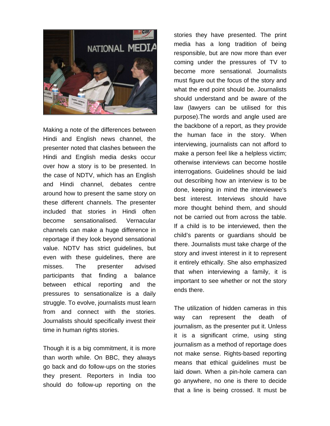

Making a note of the differences between Hindi and English news channel, the presenter noted that clashes between the Hindi and English media desks occur over how a story is to be presented. In the case of NDTV, which has an English and Hindi channel, debates centre around how to present the same story on these different channels. The presenter included that stories in Hindi often become sensationalised. Vernacular channels can make a huge difference in reportage if they look beyond sensational value. NDTV has strict guidelines, but even with these guidelines, there are misses. The presenter advised participants that finding a balance between ethical reporting and the pressures to sensationalize is a daily struggle. To evolve, journalists must learn from and connect with the stories. Journalists should specifically invest their time in human rights stories.

Though it is a big commitment, it is more than worth while. On BBC, they always go back and do follow-ups on the stories they present. Reporters in India too should do follow-up reporting on the stories they have presented. The print media has a long tradition of being responsible, but are now more than ever coming under the pressures of TV to become more sensational. Journalists must figure out the focus of the story and what the end point should be. Journalists should understand and be aware of the law (lawyers can be utilised for this purpose).The words and angle used are the backbone of a report, as they provide the human face in the story. When interviewing, journalists can not afford to make a person feel like a helpless victim; otherwise interviews can become hostile interrogations. Guidelines should be laid out describing how an interview is to be done, keeping in mind the interviewee's best interest. Interviews should have more thought behind them, and should not be carried out from across the table. If a child is to be interviewed, then the child's parents or guardians should be there. Journalists must take charge of the story and invest interest in it to represent it entirely ethically. She also emphasized that when interviewing a family, it is important to see whether or not the story ends there.

The utilization of hidden cameras in this way can represent the death of journalism, as the presenter put it. Unless it is a significant crime, using sting journalism as a method of reportage does not make sense. Rights-based reporting means that ethical guidelines must be laid down. When a pin-hole camera can go anywhere, no one is there to decide that a line is being crossed. It must be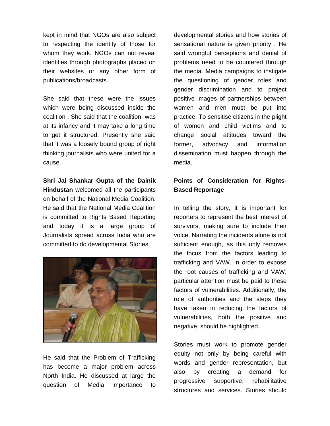kept in mind that NGOs are also subject to respecting the identity of those for whom they work. NGOs can not reveal identities through photographs placed on their websites or any other form of publications/broadcasts.

She said that these were the issues which were being discussed inside the coalition . She said that the coalition was at its infancy and it may take a long time to get it structured. Presently she said that it was a loosely bound group of right thinking journalists who were united for a cause.

**Shri Jai Shankar Gupta of the Dainik Hindustan** welcomed all the participants on behalf of the National Media Coalition. He said that the National Media Coalition is committed to Rights Based Reporting and today it is a large group of Journalists spread across India who are committed to do developmental Stories.



He said that the Problem of Trafficking has become a major problem across North India. He discussed at large the question of Media importance to

developmental stories and how stories of sensational nature is given priority . He said wrongful perceptions and denial of problems need to be countered through the media. Media campaigns to instigate the questioning of gender roles and gender discrimination and to project positive images of partnerships between women and men must be put into practice. To sensitise citizens in the plight of women and child victims and to change social attitudes toward the former, advocacy and information dissemination must happen through the media.

## **Points of Consideration for Rights-Based Reportage**

In telling the story, it is important for reporters to represent the best interest of survivors, making sure to include their voice. Narrating the incidents alone is not sufficient enough, as this only removes the focus from the factors leading to trafficking and VAW. In order to expose the root causes of trafficking and VAW, particular attention must be paid to these factors of vulnerabilities. Additionally, the role of authorities and the steps they have taken in reducing the factors of vulnerabilities, both the positive and negative, should be highlighted.

Stories must work to promote gender equity not only by being careful with words and gender representation, but also by creating a demand for progressive supportive, rehabilitative structures and services. Stories should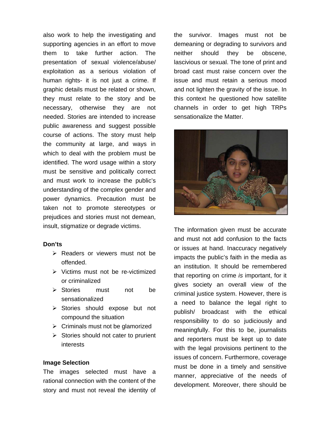also work to help the investigating and supporting agencies in an effort to move them to take further action. The presentation of sexual violence/abuse/ exploitation as a serious violation of human rights- it is not just a crime. If graphic details must be related or shown, they must relate to the story and be necessary, otherwise they are not needed. Stories are intended to increase public awareness and suggest possible course of actions. The story must help the community at large, and ways in which to deal with the problem must be identified. The word usage within a story must be sensitive and politically correct and must work to increase the public's understanding of the complex gender and power dynamics. Precaution must be taken not to promote stereotypes or prejudices and stories must not demean, insult, stigmatize or degrade victims.

#### **Don'ts**

- $\triangleright$  Readers or viewers must not be offended.
- $\triangleright$  Victims must not be re-victimized or criminalized
- ¾ Stories must not be sensationalized
- ¾ Stories should expose but not compound the situation
- $\triangleright$  Criminals must not be glamorized
- $\triangleright$  Stories should not cater to prurient interests

#### **Image Selection**

The images selected must have a rational connection with the content of the story and must not reveal the identity of

the survivor. Images must not be demeaning or degrading to survivors and neither should they be obscene, lascivious or sexual. The tone of print and broad cast must raise concern over the issue and must retain a serious mood and not lighten the gravity of the issue. In this context he questioned how satellite channels in order to get high TRPs sensationalize the Matter.



The information given must be accurate and must not add confusion to the facts or issues at hand. Inaccuracy negatively impacts the public's faith in the media as an institution. It should be remembered that reporting on crime *is* important, for it gives society an overall view of the criminal justice system. However, there is a need to balance the legal right to publish/ broadcast with the ethical responsibility to do so judiciously and meaningfully. For this to be, journalists and reporters must be kept up to date with the legal provisions pertinent to the issues of concern. Furthermore, coverage must be done in a timely and sensitive manner, appreciative of the needs of development. Moreover, there should be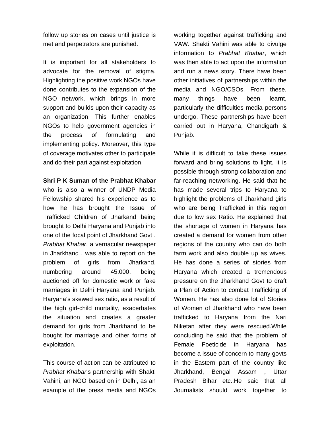follow up stories on cases until justice is met and perpetrators are punished.

It is important for all stakeholders to advocate for the removal of stigma. Highlighting the positive work NGOs have done contributes to the expansion of the NGO network, which brings in more support and builds upon their capacity as an organization. This further enables NGOs to help government agencies in the process of formulating and implementing policy. Moreover, this type of coverage motivates other to participate and do their part against exploitation.

**Shri P K Suman of the Prabhat Khabar** 

who is also a winner of UNDP Media Fellowship shared his experience as to how he has brought the Issue of Trafficked Children of Jharkand being brought to Delhi Haryana and Punjab into one of the focal point of Jharkhand Govt . *Prabhat Khabar*, a vernacular newspaper in Jharkhand , was able to report on the problem of girls from Jharkand, numbering around 45,000, being auctioned off for domestic work or fake marriages in Delhi Haryana and Punjab. Haryana's skewed sex ratio, as a result of the high girl-child mortality, exacerbates the situation and creates a greater demand for girls from Jharkhand to be bought for marriage and other forms of exploitation.

This course of action can be attributed to *Prabhat Khabar*'s partnership with Shakti Vahini, an NGO based on in Delhi, as an example of the press media and NGOs working together against trafficking and VAW. Shakti Vahini was able to divulge information to *Prabhat Khabar*, which was then able to act upon the information and run a news story. There have been other initiatives of partnerships within the media and NGO/CSOs. From these, many things have been learnt, particularly the difficulties media persons undergo. These partnerships have been carried out in Haryana, Chandigarh & Punjab.

While it is difficult to take these issues forward and bring solutions to light, it is possible through strong collaboration and far-reaching networking. He said that he has made several trips to Haryana to highlight the problems of Jharkhand girls who are being Trafficked in this region due to low sex Ratio. He explained that the shortage of women in Haryana has created a demand for women from other regions of the country who can do both farm work and also double up as wives. He has done a series of stories from Haryana which created a tremendous pressure on the Jharkhand Govt to draft a Plan of Action to combat Trafficking of Women. He has also done lot of Stories of Women of Jharkhand who have been trafficked to Haryana from the Nari Niketan after they were rescued.While concluding he said that the problem of Female Foeticide in Haryana has become a issue of concern to many govts in the Eastern part of the country like Jharkhand, Bengal Assam , Uttar Pradesh Bihar etc..He said that all Journalists should work together to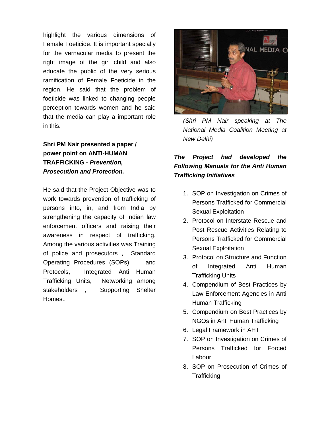highlight the various dimensions of Female Foeticide. It is important specially for the vernacular media to present the right image of the girl child and also educate the public of the very serious ramification of Female Foeticide in the region. He said that the problem of foeticide was linked to changing people perception towards women and he said that the media can play a important role in this.

**Shri PM Nair presented a paper / power point on ANTI-HUMAN TRAFFICKING -** *Prevention, Prosecution and Protection.* 

He said that the Project Objective was to work towards prevention of trafficking of persons into, in, and from India by strengthening the capacity of Indian law enforcement officers and raising their awareness in respect of trafficking. Among the various activities was Training of police and prosecutors , Standard Operating Procedures (SOPs) and Protocols, Integrated Anti Human Trafficking Units, Networking among stakeholders , Supporting Shelter Homes..



*(Shri PM Nair speaking at The National Media Coalition Meeting at New Delhi)* 

## *The Project had developed the Following Manuals for the Anti Human Trafficking Initiatives*

- 1. SOP on Investigation on Crimes of Persons Trafficked for Commercial Sexual Exploitation
- 2. Protocol on Interstate Rescue and Post Rescue Activities Relating to Persons Trafficked for Commercial Sexual Exploitation
- 3. Protocol on Structure and Function of Integrated Anti Human Trafficking Units
- 4. Compendium of Best Practices by Law Enforcement Agencies in Anti Human Trafficking
- 5. Compendium on Best Practices by NGOs in Anti Human Trafficking
- 6. Legal Framework in AHT
- 7. SOP on Investigation on Crimes of Persons Trafficked for Forced Labour
- 8. SOP on Prosecution of Crimes of **Trafficking**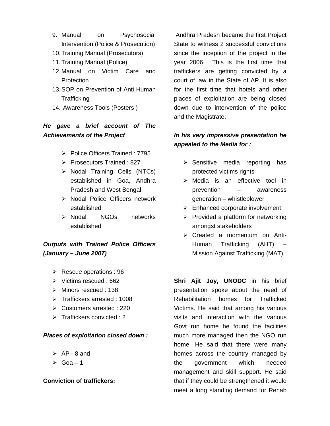- 9. Manual on Psychosocial Intervention (Police & Prosecution)
- 10. Training Manual (Prosecutors)
- 11. Training Manual (Police)
- 12. Manual on Victim Care and **Protection**
- 13. SOP on Prevention of Anti Human **Trafficking**
- 14. Awareness Tools (Posters )

## *He gave a brief account of The Achievements of the Project*

- ¾ Police Officers Trained : 7795
- ¾ Prosecutors Trained : 827
- ¾ Nodal Training Cells (NTCs) established in Goa, Andhra Pradesh and West Bengal
- ¾ Nodal Police Officers network established
- ¾ Nodal NGOs networks established

## *Outputs with Trained Police Officers (January – June 2007)*

- $\triangleright$  Rescue operations : 96
- $\triangleright$  Victims rescued : 662
- $\triangleright$  Minors rescued : 138
- $\triangleright$  Traffickers arrested : 1008
- $\triangleright$  Customers arrested : 220
- $\triangleright$  Traffickers convicted : 2

### *Places of exploitation closed down :*

- $\triangleright$  AP 8 and
- $\triangleright$  Goa 1

### **Conviction of traffickers:**

 Andhra Pradesh became the first Project State to witness 2 successful convictions since the inception of the project in the year 2006. This is the first time that traffickers are getting convicted by a court of law in the State of AP. It is also for the first time that hotels and other places of exploitation are being closed down due to intervention of the police and the Magistrate.

## *In his very impressive presentation he appealed to the Media for :*

- $\triangleright$  Sensitive media reporting has protected victims rights
- $\triangleright$  Media is an effective tool in prevention – awareness generation – whistleblower
- $\triangleright$  Enhanced corporate involvement
- $\triangleright$  Provided a platform for networking amongst stakeholders
- ¾ Created a momentum on Anti-Human Trafficking (AHT) – Mission Against Trafficking (MAT)

**Shri Ajit Joy, UNODC** in his brief presentation spoke about the need of Rehabilitation homes for Trafficked Victims. He said that among his various visits and interaction with the various Govt run home he found the facilities much more managed then the NGO run home. He said that there were many homes across the country managed by the government which needed management and skill support. He said that if they could be strengthened it would meet a long standing demand for Rehab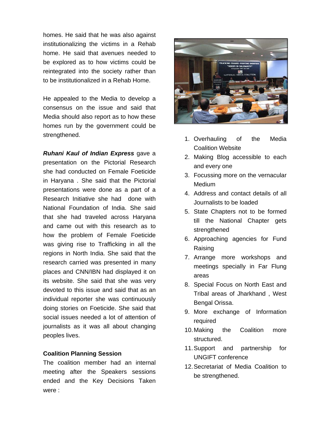homes. He said that he was also against institutionalizing the victims in a Rehab home. He said that avenues needed to be explored as to how victims could be reintegrated into the society rather than to be institutionalized in a Rehab Home.

He appealed to the Media to develop a consensus on the issue and said that Media should also report as to how these homes run by the government could be strengthened.

*Ruhani Kaul of Indian Express* gave a presentation on the Pictorial Research she had conducted on Female Foeticide in Haryana . She said that the Pictorial presentations were done as a part of a Research Initiative she had done with National Foundation of India. She said that she had traveled across Haryana and came out with this research as to how the problem of Female Foeticide was giving rise to Trafficking in all the regions in North India. She said that the research carried was presented in many places and CNN/IBN had displayed it on its website. She said that she was very devoted to this issue and said that as an individual reporter she was continuously doing stories on Foeticide. She said that social issues needed a lot of attention of journalists as it was all about changing peoples lives.

#### **Coalition Planning Session**

The coalition member had an internal meeting after the Speakers sessions ended and the Key Decisions Taken were :



- 1. Overhauling of the Media Coalition Website
- 2. Making Blog accessible to each and every one
- 3. Focussing more on the vernacular **Medium**
- 4. Address and contact details of all Journalists to be loaded
- 5. State Chapters not to be formed till the National Chapter gets strengthened
- 6. Approaching agencies for Fund Raising
- 7. Arrange more workshops and meetings specially in Far Flung areas
- 8. Special Focus on North East and Tribal areas of Jharkhand , West Bengal Orissa.
- 9. More exchange of Information required
- 10. Making the Coalition more structured.
- 11. Support and partnership for UNGIFT conference
- 12. Secretariat of Media Coalition to be strengthened.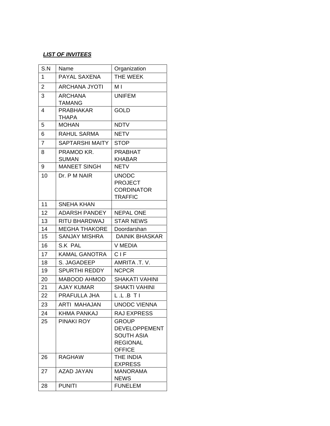### *LIST OF INVITEES*

| S.N            | Name                       | Organization                                                                                  |
|----------------|----------------------------|-----------------------------------------------------------------------------------------------|
| 1              | PAYAL SAXENA               | THE WEEK                                                                                      |
| $\overline{2}$ | <b>ARCHANA JYOTI</b>       | МI                                                                                            |
| 3              | <b>ARCHANA</b><br>TAMANG   | <b>UNIFEM</b>                                                                                 |
| 4              | <b>PRABHAKAR</b><br>THAPA  | <b>GOLD</b>                                                                                   |
| 5              | <b>MOHAN</b>               | <b>NDTV</b>                                                                                   |
| 6              | <b>RAHUL SARMA</b>         | <b>NETV</b>                                                                                   |
| $\overline{7}$ | <b>SAPTARSHI MAITY</b>     | <b>STOP</b>                                                                                   |
| 8              | PRAMOD KR.<br><b>SUMAN</b> | <b>PRABHAT</b><br><b>KHABAR</b>                                                               |
| 9              | <b>MANEET SINGH</b>        | <b>NETV</b>                                                                                   |
| 10             | Dr. P M NAIR               | <b>UNODC</b><br><b>PROJECT</b><br><b>CORDINATOR</b><br><b>TRAFFIC</b>                         |
| 11             | SNEHA KHAN                 |                                                                                               |
| 12             | <b>ADARSH PANDEY</b>       | <b>NEPAL ONE</b>                                                                              |
| 13             | RITU BHARDWAJ              | <b>STAR NEWS</b>                                                                              |
| 14             | <b>MEGHA THAKORE</b>       | Doordarshan                                                                                   |
| 15             | SANJAY MISHRA              | <b>DAINIK BHASKAR</b>                                                                         |
| 16             | S.K PAL                    | <b>V MEDIA</b>                                                                                |
| 17             | <b>KAMAL GANOTRA</b>       | CIF                                                                                           |
| 18             | S. JAGADEEP                | AMRITA .T. V.                                                                                 |
| 19             | <b>SPURTHI REDDY</b>       | <b>NCPCR</b>                                                                                  |
| 20             | <b>MABOOD AHMOD</b>        | <b>SHAKATI VAHINI</b>                                                                         |
| 21             | AJAY KUMAR                 | <b>SHAKTI VAHINI</b>                                                                          |
| 22             | PRAFULLA JHA               | L.L.B T I                                                                                     |
| 23             | ARTI MAHAJAN               | <b>UNODC VIENNA</b>                                                                           |
| 24             | KHMA PANKAJ                | RAJ EXPRESS                                                                                   |
| 25             | <b>PINAKI ROY</b>          | <b>GROUP</b><br><b>DEVELOPPEMENT</b><br><b>SOUTH ASIA</b><br><b>REGIONAL</b><br><b>OFFICE</b> |
| 26             | <b>RAGHAW</b>              | THE INDIA<br><b>EXPRESS</b>                                                                   |
| 27             | <b>AZAD JAYAN</b>          | <b>MANORAMA</b><br><b>NEWS</b>                                                                |
| 28             | <b>PUNITI</b>              | <b>FUNELEM</b>                                                                                |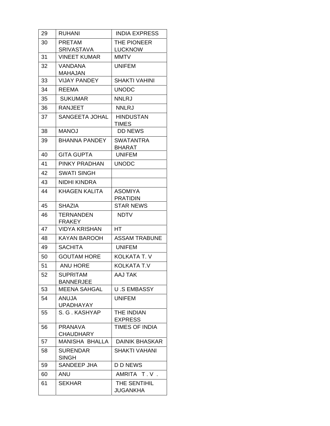| 29 | RUHANI                              | <b>INDIA EXPRESS</b>              |
|----|-------------------------------------|-----------------------------------|
| 30 | <b>PRETAM</b>                       | THE PIONEER                       |
|    | <b>SRIVASTAVA</b>                   | <b>LUCKNOW</b>                    |
| 31 | <b>VINEET KUMAR</b>                 | <b>MMTV</b>                       |
| 32 | VANDANA<br>MAHAJAN                  | <b>UNIFEM</b>                     |
| 33 | <b>VIJAY PANDEY</b>                 | <b>SHAKTI VAHINI</b>              |
| 34 | <b>REEMA</b>                        | <b>UNODC</b>                      |
| 35 | <b>SUKUMAR</b>                      | <b>NNLRJ</b>                      |
| 36 | <b>RANJEET</b>                      | <b>NNLRJ</b>                      |
| 37 | SANGEETA JOHAL                      | <b>HINDUSTAN</b><br><b>TIMES</b>  |
| 38 | <b>MANOJ</b>                        | <b>DD NEWS</b>                    |
| 39 | <b>BHANNA PANDEY</b>                | <b>SWATANTRA</b><br>BHARAT        |
| 40 | <b>GITA GUPTA</b>                   | <b>UNIFEM</b>                     |
| 41 | PINKY PRADHAN                       | <b>UNODC</b>                      |
| 42 | SWATI SINGH                         |                                   |
| 43 | NIDHI KINDRA                        |                                   |
| 44 | KHAGEN KALITA                       | <b>ASOMIYA</b><br><b>PRATIDIN</b> |
| 45 | <b>SHAZIA</b>                       | <b>STAR NEWS</b>                  |
| 46 | <b>TERNANDEN</b><br><b>FRAKEY</b>   | <b>NDTV</b>                       |
| 47 | VIDYA KRISHAN                       | НT                                |
| 48 | <b>KAYAN BAROOH</b>                 | <b>ASSAM TRABUNE</b>              |
| 49 | <b>SACHITA</b>                      | <b>UNIFEM</b>                     |
| 50 | <b>GOUTAM HORE</b>                  | KOLKATA T. V                      |
| 51 | <b>ANU HORE</b>                     | <b>KOLKATA T.V</b>                |
| 52 | <b>SUPRITAM</b><br><b>BANNERJEE</b> | AAJ TAK                           |
| 53 | <b>MEENA SAHGAL</b>                 | <b>U.S EMBASSY</b>                |
| 54 | ANUJA<br><b>UPADHAYAY</b>           | <b>UNIFEM</b>                     |
| 55 | S. G. KASHYAP                       | THE INDIAN<br><b>EXPRESS</b>      |
| 56 | <b>PRANAVA</b><br><b>CHAUDHARY</b>  | <b>TIMES OF INDIA</b>             |
| 57 | MANISHA BHALLA                      | <b>DAINIK BHASKAR</b>             |
| 58 | <b>SURENDAR</b><br><b>SINGH</b>     | SHAKTI VAHANI                     |
| 59 | SANDEEP JHA                         | <b>D D NEWS</b>                   |
| 60 | ANU                                 | AMRITA T.V.                       |
| 61 | SEKHAR                              | THE SENTIHIL<br><b>JUGANKHA</b>   |